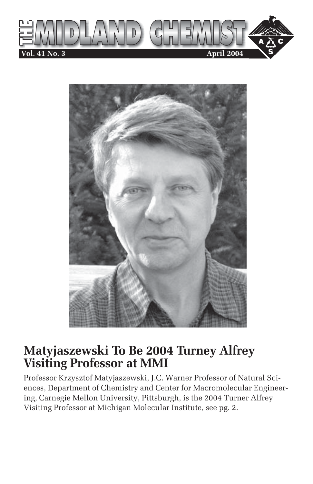



## **Matyjaszewski To Be 2004 Turney Alfrey Visiting Professor at MMI**

Professor Krzysztof Matyjaszewski, J.C. Warner Professor of Natural Sciences, Department of Chemistry and Center for Macromolecular Engineering, Carnegie Mellon University, Pittsburgh, is the 2004 Turner Alfrey Visiting Professor at Michigan Molecular Institute, see pg. 2.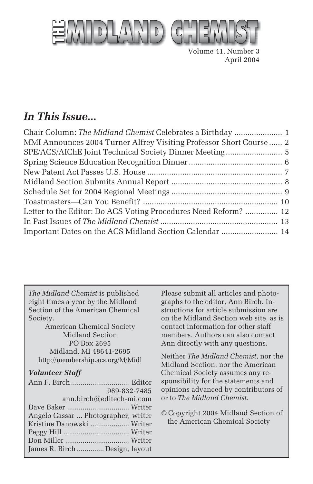

Volume 41, Number 3 April 2004

## *In This Issue...*

| MMI Announces 2004 Turner Alfrey Visiting Professor Short Course  2 |  |
|---------------------------------------------------------------------|--|
| SPE/ACS/AIChE Joint Technical Society Dinner Meeting 5              |  |
|                                                                     |  |
|                                                                     |  |
|                                                                     |  |
|                                                                     |  |
|                                                                     |  |
| Letter to the Editor: Do ACS Voting Procedures Need Reform?  12     |  |
|                                                                     |  |
| Important Dates on the ACS Midland Section Calendar  14             |  |

*The Midland Chemist* is published eight times a year by the Midland Section of the American Chemical Society.

American Chemical Society Midland Section PO Box 2695 Midland, MI 48641-2695 http://membership.acs.org/M/Midl

#### *Volunteer Staff*

| 989-832-7485                        |  |
|-------------------------------------|--|
| ann.birch@editech-mi.com            |  |
|                                     |  |
| Angelo Cassar  Photographer, writer |  |
| Kristine Danowski  Writer           |  |
|                                     |  |
|                                     |  |
| James R. Birch  Design, layout      |  |

Please submit all articles and photographs to the editor, Ann Birch. Instructions for article submission are on the Midland Section web site, as is contact information for other staff members. Authors can also contact Ann directly with any questions.

Neither *The Midland Chemist*, nor the Midland Section, nor the American Chemical Society assumes any responsibility for the statements and opinions advanced by contributors of or to *The Midland Chemist*.

© Copyright 2004 Midland Section of the American Chemical Society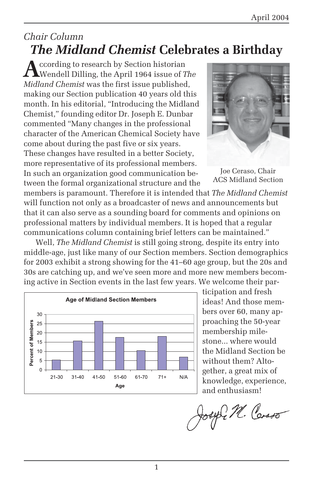## *Chair Column The Midland Chemist* **Celebrates a Birthday**

**A**ccording to research by Section historian Wendell Dilling, the April 1964 issue of *The Midland Chemist* was the first issue published, making our Section publication 40 years old this month. In his editorial, "Introducing the Midland Chemist," founding editor Dr. Joseph E. Dunbar commented "Many changes in the professional character of the American Chemical Society have come about during the past five or six years. These changes have resulted in a better Society, more representative of its professional members. In such an organization good communication between the formal organizational structure and the



Joe Ceraso, Chair ACS Midland Section

members is paramount. Therefore it is intended that *The Midland Chemist* will function not only as a broadcaster of news and announcements but that it can also serve as a sounding board for comments and opinions on professional matters by individual members. It is hoped that a regular communications column containing brief letters can be maintained."

Well, *The Midland Chemist* is still going strong, despite its entry into middle-age, just like many of our Section members. Section demographics for 2003 exhibit a strong showing for the 41–60 age group, but the 20s and 30s are catching up, and we've seen more and more new members becoming active in Section events in the last few years. We welcome their par-



ticipation and fresh ideas! And those members over 60, many approaching the 50-year membership milestone... where would the Midland Section be without them? Altogether, a great mix of knowledge, experience, and enthusiasm!

Joseph M. Carso

1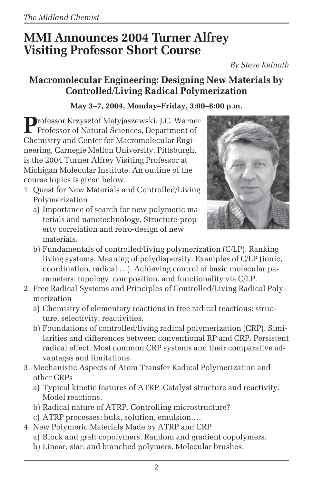# **MMI Announces 2004 Turner Alfrey Visiting Professor Short Course**

*By Steve Keinath*

### **Macromolecular Engineering: Designing New Materials by Controlled/Living Radical Polymerization**

### **May 3–7, 2004, Monday–Friday, 3:00–6:00 p.m.**

Professor Krzysztof Matyjaszewski, J.C. Warner<br>Professor of Natural Sciences, Department of Chemistry and Center for Macromolecular Engineering, Carnegie Mellon University, Pittsburgh, is the 2004 Turner Alfrey Visiting Professor at Michigan Molecular Institute. An outline of the course topics is given below.

- 1. Quest for New Materials and Controlled/Living Polymerization
	- a) Importance of search for new polymeric materials and nanotechnology. Structure-property correlation and retro-design of new materials.



- b) Fundamentals of controlled/living polymerization (C/LP). Ranking living systems. Meaning of polydispersity. Examples of C/LP (ionic, coordination, radical …). Achieving control of basic molecular parameters: topology, composition, and functionality via C/LP.
- 2. Free Radical Systems and Principles of Controlled/Living Radical Polymerization
	- a) Chemistry of elementary reactions in free radical reactions: structure, selectivity, reactivities.
	- b) Foundations of controlled/living radical polymerization (CRP). Similarities and differences between conventional RP and CRP. Persistent radical effect. Most common CRP systems and their comparative advantages and limitations.
- 3. Mechanistic Aspects of Atom Transfer Radical Polymerization and other CRPs
	- a) Typical kinetic features of ATRP. Catalyst structure and reactivity. Model reactions.
	- b) Radical nature of ATRP. Controlling microstructure?
	- c) ATRP processes: bulk, solution, emulsion.…
- 4. New Polymeric Materials Made by ATRP and CRP
	- a) Block and graft copolymers. Random and gradient copolymers.
	- b) Linear, star, and branched polymers. Molecular brushes.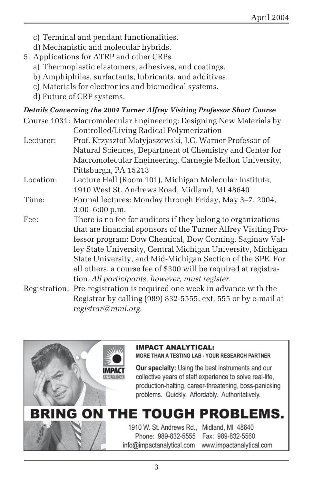- c) Terminal and pendant functionalities.
- d) Mechanistic and molecular hybrids.
- 5. Applications for ATRP and other CRPs
	- a) Thermoplastic elastomers, adhesives, and coatings.
	- b) Amphiphiles, surfactants, lubricants, and additives.
	- c) Materials for electronics and biomedical systems.
	- d) Future of CRP systems.

#### *Details Concerning the 2004 Turner Alfrey Visiting Professor Short Course*

- Course 1031: Macromolecular Engineering: Designing New Materials by Controlled/Living Radical Polymerization
- Lecturer: Prof. Krzysztof Matyjaszewski, J.C. Warner Professor of Natural Sciences, Department of Chemistry and Center for Macromolecular Engineering, Carnegie Mellon University, Pittsburgh, PA 15213
- Location: Lecture Hall (Room 101), Michigan Molecular Institute, 1910 West St. Andrews Road, Midland, MI 48640
- Time: Formal lectures: Monday through Friday, May 3–7, 2004, 3:00–6:00 p.m.
- Fee: There is no fee for auditors if they belong to organizations that are financial sponsors of the Turner Alfrey Visiting Professor program: Dow Chemical, Dow Corning, Saginaw Valley State University, Central Michigan University, Michigan State University, and Mid-Michigan Section of the SPE. For all others, a course fee of \$300 will be required at registration. *All participants, however, must register.*
- Registration: Pre-registration is required one week in advance with the Registrar by calling (989) 832-5555, ext. 555 or by e-mail at *registrar@mmi.org.*



#### **IMPACT ANALYTICAL:**

#### MORE THAN A TESTING LAB - YOUR RESEARCH PARTNER

Our specialty: Using the best instruments and our collective years of staff experience to solve real-life, production-halting, career-threatening, boss-panicking problems. Quickly. Affordably. Authoritatively.

# BRING ON THE TOUGH PROBLEMS.

1910 W. St. Andrews Rd., Midland, MI 48640 Phone: 989-832-5555 info@impactanalytical.com

Fax: 989-832-5560 www.impactanalytical.com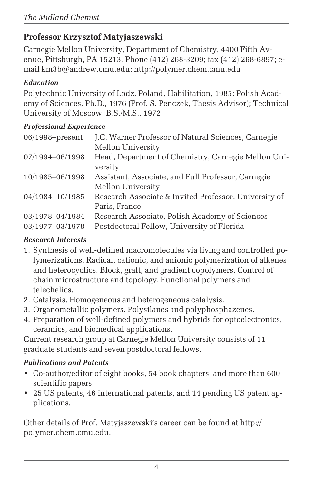### **Professor Krzysztof Matyjaszewski**

Carnegie Mellon University, Department of Chemistry, 4400 Fifth Avenue, Pittsburgh, PA 15213. Phone (412) 268-3209; fax (412) 268-6897; email km3b@andrew.cmu.edu; http://polymer.chem.cmu.edu

#### *Education*

Polytechnic University of Lodz, Poland, Habilitation, 1985; Polish Academy of Sciences, Ph.D., 1976 (Prof. S. Penczek, Thesis Advisor); Technical University of Moscow, B.S./M.S., 1972

### *Professional Experience*

| $06/1998$ -present | J.C. Warner Professor of Natural Sciences, Carnegie   |
|--------------------|-------------------------------------------------------|
|                    | Mellon University                                     |
| 07/1994-06/1998    | Head, Department of Chemistry, Carnegie Mellon Uni-   |
|                    | versity                                               |
| 10/1985-06/1998    | Assistant, Associate, and Full Professor, Carnegie    |
|                    | Mellon University                                     |
| 04/1984-10/1985    | Research Associate & Invited Professor, University of |
|                    | Paris, France                                         |
| 03/1978-04/1984    | Research Associate, Polish Academy of Sciences        |
| 03/1977-03/1978    | Postdoctoral Fellow, University of Florida            |
|                    |                                                       |

### *Research Interests*

- 1. Synthesis of well-defined macromolecules via living and controlled polymerizations. Radical, cationic, and anionic polymerization of alkenes and heterocyclics. Block, graft, and gradient copolymers. Control of chain microstructure and topology. Functional polymers and telechelics.
- 2. Catalysis. Homogeneous and heterogeneous catalysis.
- 3. Organometallic polymers. Polysilanes and polyphosphazenes.
- 4. Preparation of well-defined polymers and hybrids for optoelectronics, ceramics, and biomedical applications.

Current research group at Carnegie Mellon University consists of 11 graduate students and seven postdoctoral fellows.

### *Publications and Patents*

- Co-author/editor of eight books, 54 book chapters, and more than 600 scientific papers.
- 25 US patents, 46 international patents, and 14 pending US patent applications.

Other details of Prof. Matyjaszewski's career can be found at http:// polymer.chem.cmu.edu.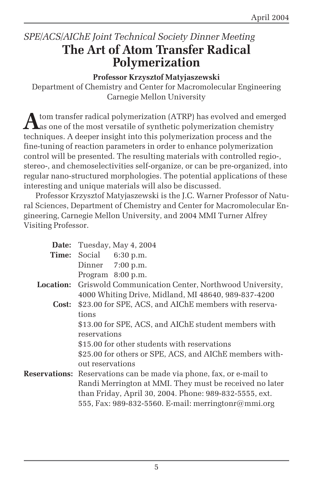## *SPE/ACS/AIChE Joint Technical Society Dinner Meeting* **The Art of Atom Transfer Radical Polymerization**

#### **Professor Krzysztof Matyjaszewski**

Department of Chemistry and Center for Macromolecular Engineering Carnegie Mellon University

Atom transfer radical polymerization (ATRP) has evolved and emerged<br>as one of the most versatile of synthetic polymerization chemistry techniques. A deeper insight into this polymerization process and the fine-tuning of reaction parameters in order to enhance polymerization control will be presented. The resulting materials with controlled regio-, stereo-, and chemoselectivities self-organize, or can be pre-organized, into regular nano-structured morphologies. The potential applications of these interesting and unique materials will also be discussed.

Professor Krzysztof Matyjaszewski is the J.C. Warner Professor of Natural Sciences, Department of Chemistry and Center for Macromolecular Engineering, Carnegie Mellon University, and 2004 MMI Turner Alfrey Visiting Professor.

| Date: | Tuesday, May 4, 2004                                                       |
|-------|----------------------------------------------------------------------------|
|       | Time: Social 6:30 p.m.                                                     |
|       | Dinner $7:00$ p.m.                                                         |
|       | Program 8:00 p.m.                                                          |
|       | <b>Location:</b> Griswold Communication Center, Northwood University,      |
|       | 4000 Whiting Drive, Midland, MI 48640, 989-837-4200                        |
| Cost: | \$23.00 for SPE, ACS, and AIChE members with reserva-                      |
|       | tions                                                                      |
|       | \$13.00 for SPE, ACS, and AIChE student members with                       |
|       | reservations                                                               |
|       | \$15.00 for other students with reservations                               |
|       | \$25.00 for others or SPE, ACS, and AIChE members with-                    |
|       | out reservations                                                           |
|       | <b>Reservations:</b> Reservations can be made via phone, fax, or e-mail to |
|       | Randi Merrington at MMI. They must be received no later                    |
|       | than Friday, April 30, 2004. Phone: 989-832-5555, ext.                     |
|       | 555, Fax: 989-832-5560. E-mail: merringtonr@mmi.org                        |
|       |                                                                            |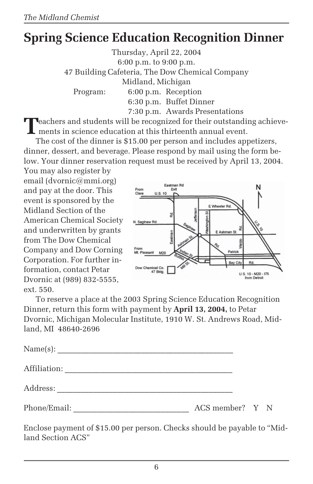# **Spring Science Education Recognition Dinner**

Thursday, April 22, 2004 6:00 p.m. to 9:00 p.m. 47 Building Cafeteria, The Dow Chemical Company Midland, Michigan Program: 6:00 p.m. Reception 6:30 p.m. Buffet Dinner 7:30 p.m. Awards Presentations

**T**eachers and students will be recognized for their outstanding achievements in science education at this thirteenth annual event.

The cost of the dinner is \$15.00 per person and includes appetizers, dinner, dessert, and beverage. Please respond by mail using the form below. Your dinner reservation request must be received by April 13, 2004.

You may also register by email (dvornic@mmi.org) and pay at the door. This event is sponsored by the Midland Section of the American Chemical Society and underwritten by grants from The Dow Chemical Company and Dow Corning Corporation. For further information, contact Petar Dvornic at (989) 832-5555, ext. 550.



To reserve a place at the 2003 Spring Science Education Recognition Dinner, return this form with payment by **April 13, 2004,** to Petar Dvornic, Michigan Molecular Institute, 1910 W. St. Andrews Road, Midland, MI 48640-2696

| Name(s):     |                 |  |
|--------------|-----------------|--|
| Affiliation: |                 |  |
| Address:     |                 |  |
| Phone/Email: | ACS member? Y N |  |

Enclose payment of \$15.00 per person. Checks should be payable to "Midland Section ACS"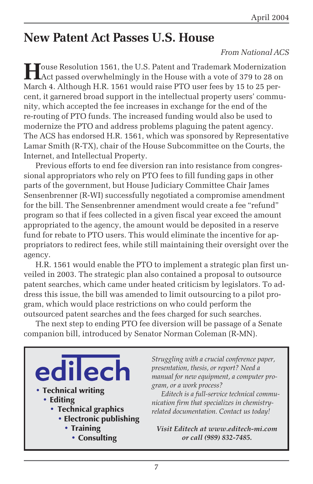# **New Patent Act Passes U.S. House**

#### *From National ACS*

**H**ouse Resolution 1561, the U.S. Patent and Trademark Modernization<br>Act passed overwhelmingly in the House with a vote of 379 to 28 on March 4. Although H.R. 1561 would raise PTO user fees by 15 to 25 percent, it garnered broad support in the intellectual property users' community, which accepted the fee increases in exchange for the end of the re-routing of PTO funds. The increased funding would also be used to modernize the PTO and address problems plaguing the patent agency. The ACS has endorsed H.R. 1561, which was sponsored by Representative Lamar Smith (R-TX), chair of the House Subcommittee on the Courts, the Internet, and Intellectual Property.

Previous efforts to end fee diversion ran into resistance from congressional appropriators who rely on PTO fees to fill funding gaps in other parts of the government, but House Judiciary Committee Chair James Sensenbrenner (R-WI) successfully negotiated a compromise amendment for the bill. The Sensenbrenner amendment would create a fee "refund" program so that if fees collected in a given fiscal year exceed the amount appropriated to the agency, the amount would be deposited in a reserve fund for rebate to PTO users. This would eliminate the incentive for appropriators to redirect fees, while still maintaining their oversight over the agency.

H.R. 1561 would enable the PTO to implement a strategic plan first unveiled in 2003. The strategic plan also contained a proposal to outsource patent searches, which came under heated criticism by legislators. To address this issue, the bill was amended to limit outsourcing to a pilot program, which would place restrictions on who could perform the outsourced patent searches and the fees charged for such searches.

The next step to ending PTO fee diversion will be passage of a Senate companion bill, introduced by Senator Norman Coleman (R-MN).

lec • Technical writing • Editing • Technical graphics • Electronic publishing • Training • Consulting

*Struggling with a crucial conference paper, presentation, thesis, or report? Need a manual for new equipment, a computer program, or a work process?*

*Editech is a full-service technical communication firm that specializes in chemistryrelated documentation. Contact us today!*

*Visit Editech at www.editech-mi.com or call (989) 832-7485.*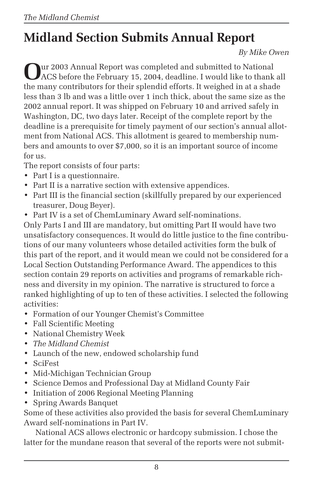# **Midland Section Submits Annual Report**

#### *By Mike Owen*

**O**ur 2003 Annual Report was completed and submitted to National ACS before the February 15, 2004, deadline. I would like to thank all the many contributors for their splendid efforts. It weighed in at a shade less than 3 lb and was a little over 1 inch thick, about the same size as the 2002 annual report. It was shipped on February 10 and arrived safely in Washington, DC, two days later. Receipt of the complete report by the deadline is a prerequisite for timely payment of our section's annual allotment from National ACS. This allotment is geared to membership numbers and amounts to over \$7,000, so it is an important source of income for us.

The report consists of four parts:

- Part I is a questionnaire.
- Part II is a narrative section with extensive appendices.
- Part III is the financial section (skillfully prepared by our experienced treasurer, Doug Beyer).
- Part IV is a set of ChemLuminary Award self-nominations.

Only Parts I and III are mandatory, but omitting Part II would have two unsatisfactory consequences. It would do little justice to the fine contributions of our many volunteers whose detailed activities form the bulk of this part of the report, and it would mean we could not be considered for a Local Section Outstanding Performance Award. The appendices to this section contain 29 reports on activities and programs of remarkable richness and diversity in my opinion. The narrative is structured to force a ranked highlighting of up to ten of these activities. I selected the following activities:

- Formation of our Younger Chemist's Committee
- Fall Scientific Meeting
- National Chemistry Week
- *The Midland Chemist*
- Launch of the new, endowed scholarship fund
- SciFest
- Mid-Michigan Technician Group
- Science Demos and Professional Day at Midland County Fair
- Initiation of 2006 Regional Meeting Planning
- Spring Awards Banquet

Some of these activities also provided the basis for several ChemLuminary Award self-nominations in Part IV.

National ACS allows electronic or hardcopy submission. I chose the latter for the mundane reason that several of the reports were not submit-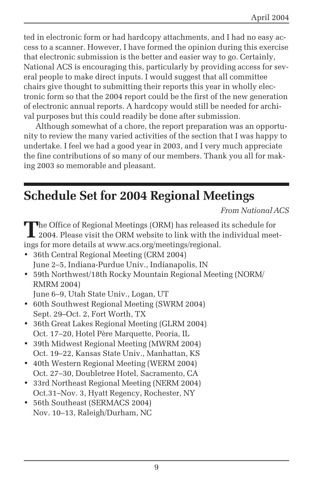ted in electronic form or had hardcopy attachments, and I had no easy access to a scanner. However, I have formed the opinion during this exercise that electronic submission is the better and easier way to go. Certainly, National ACS is encouraging this, particularly by providing access for several people to make direct inputs. I would suggest that all committee chairs give thought to submitting their reports this year in wholly electronic form so that the 2004 report could be the first of the new generation of electronic annual reports. A hardcopy would still be needed for archival purposes but this could readily be done after submission.

Although somewhat of a chore, the report preparation was an opportunity to review the many varied activities of the section that I was happy to undertake. I feel we had a good year in 2003, and I very much appreciate the fine contributions of so many of our members. Thank you all for making 2003 so memorable and pleasant.

# **Schedule Set for 2004 Regional Meetings**

*From National ACS*

The Office of Regional Meetings (ORM) has released its schedule for 2004. Please visit the ORM website to link with the individual meetings for more details at www.acs.org/meetings/regional.

- 36th Central Regional Meeting (CRM 2004) June 2–5, Indiana-Purdue Univ., Indianapolis, IN
- 59th Northwest/18th Rocky Mountain Regional Meeting (NORM/ RMRM 2004)
	- June 6–9, Utah State Univ., Logan, UT
- 60th Southwest Regional Meeting (SWRM 2004) Sept. 29–Oct. 2, Fort Worth, TX
- 36th Great Lakes Regional Meeting (GLRM 2004) Oct. 17–20, Hotel Père Marquette, Peoria, IL
- 39th Midwest Regional Meeting (MWRM 2004) Oct. 19–22, Kansas State Univ., Manhattan, KS
- 40th Western Regional Meeting (WERM 2004) Oct. 27–30, Doubletree Hotel, Sacramento, CA
- 33rd Northeast Regional Meeting (NERM 2004) Oct.31–Nov. 3, Hyatt Regency, Rochester, NY
- 56th Southeast (SERMACS 2004) Nov. 10–13, Raleigh/Durham, NC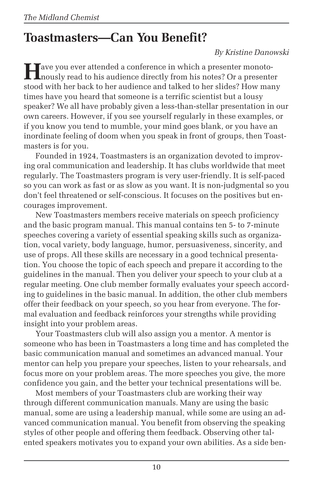# **Toastmasters—Can You Benefit?**

#### *By Kristine Danowski*

**T**ave you ever attended a conference in which a presenter monotonously read to his audience directly from his notes? Or a presenter stood with her back to her audience and talked to her slides? How many times have you heard that someone is a terrific scientist but a lousy speaker? We all have probably given a less-than-stellar presentation in our own careers. However, if you see yourself regularly in these examples, or if you know you tend to mumble, your mind goes blank, or you have an inordinate feeling of doom when you speak in front of groups, then Toastmasters is for you.

Founded in 1924, Toastmasters is an organization devoted to improving oral communication and leadership. It has clubs worldwide that meet regularly. The Toastmasters program is very user-friendly. It is self-paced so you can work as fast or as slow as you want. It is non-judgmental so you don't feel threatened or self-conscious. It focuses on the positives but encourages improvement.

New Toastmasters members receive materials on speech proficiency and the basic program manual. This manual contains ten 5- to 7-minute speeches covering a variety of essential speaking skills such as organization, vocal variety, body language, humor, persuasiveness, sincerity, and use of props. All these skills are necessary in a good technical presentation. You choose the topic of each speech and prepare it according to the guidelines in the manual. Then you deliver your speech to your club at a regular meeting. One club member formally evaluates your speech according to guidelines in the basic manual. In addition, the other club members offer their feedback on your speech, so you hear from everyone. The formal evaluation and feedback reinforces your strengths while providing insight into your problem areas.

Your Toastmasters club will also assign you a mentor. A mentor is someone who has been in Toastmasters a long time and has completed the basic communication manual and sometimes an advanced manual. Your mentor can help you prepare your speeches, listen to your rehearsals, and focus more on your problem areas. The more speeches you give, the more confidence you gain, and the better your technical presentations will be.

Most members of your Toastmasters club are working their way through different communication manuals. Many are using the basic manual, some are using a leadership manual, while some are using an advanced communication manual. You benefit from observing the speaking styles of other people and offering them feedback. Observing other talented speakers motivates you to expand your own abilities. As a side ben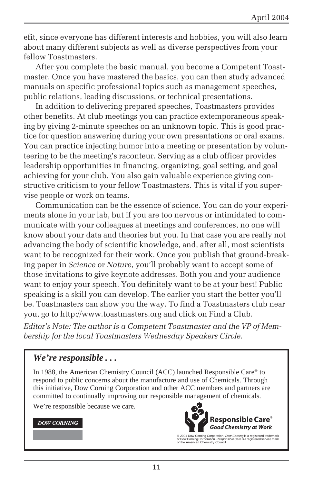efit, since everyone has different interests and hobbies, you will also learn about many different subjects as well as diverse perspectives from your fellow Toastmasters.

After you complete the basic manual, you become a Competent Toastmaster. Once you have mastered the basics, you can then study advanced manuals on specific professional topics such as management speeches, public relations, leading discussions, or technical presentations.

In addition to delivering prepared speeches, Toastmasters provides other benefits. At club meetings you can practice extemporaneous speaking by giving 2-minute speeches on an unknown topic. This is good practice for question answering during your own presentations or oral exams. You can practice injecting humor into a meeting or presentation by volunteering to be the meeting's raconteur. Serving as a club officer provides leadership opportunities in financing, organizing, goal setting, and goal achieving for your club. You also gain valuable experience giving constructive criticism to your fellow Toastmasters. This is vital if you supervise people or work on teams.

Communication can be the essence of science. You can do your experiments alone in your lab, but if you are too nervous or intimidated to communicate with your colleagues at meetings and conferences, no one will know about your data and theories but you. In that case you are really not advancing the body of scientific knowledge, and, after all, most scientists want to be recognized for their work. Once you publish that ground-breaking paper in *Science* or *Nature*, you'll probably want to accept some of those invitations to give keynote addresses. Both you and your audience want to enjoy your speech. You definitely want to be at your best! Public speaking is a skill you can develop. The earlier you start the better you'll be. Toastmasters can show you the way. To find a Toastmasters club near you, go to http://www.toastmasters.org and click on Find a Club.

*Editor's Note: The author is a Competent Toastmaster and the VP of Membership for the local Toastmasters Wednesday Speakers Circle.*

#### *We're responsible . . .*

In 1988, the American Chemistry Council (ACC) launched Responsible Care® to respond to public concerns about the manufacture and use of Chemicals. Through this initiative, Dow Corning Corporation and other ACC members and partners are committed to continually improving our responsible management of chemicals.

We're responsible because we care.

#### **DOW CORNING**



© 2001 Dow Corning Corporation. *Dow Corning* is a registered trademark<br>of Dow Corning Corporation. *Responsible Care* is a registered service mark<br>of the American Chemistry Council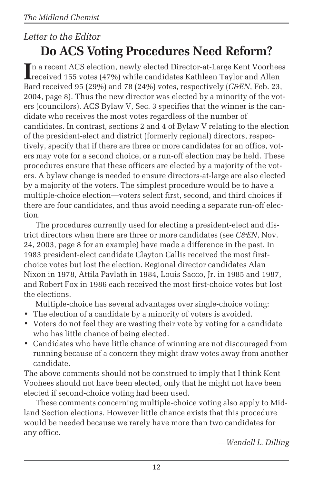## *Letter to the Editor* **Do ACS Voting Procedures Need Reform?**

In a recent ACS election, newly elected Director-at-Large Kent Voorhees<br>
received 155 votes (47%) while candidates Kathleen Taylor and Allen received 155 votes (47%) while candidates Kathleen Taylor and Allen Bard received 95 (29%) and 78 (24%) votes, respectively (*C&EN*, Feb. 23, 2004, page 8). Thus the new director was elected by a minority of the voters (councilors). ACS Bylaw V, Sec. 3 specifies that the winner is the candidate who receives the most votes regardless of the number of candidates. In contrast, sections 2 and 4 of Bylaw V relating to the election of the president-elect and district (formerly regional) directors, respectively, specify that if there are three or more candidates for an office, voters may vote for a second choice, or a run-off election may be held. These procedures ensure that these officers are elected by a majority of the voters. A bylaw change is needed to ensure directors-at-large are also elected by a majority of the voters. The simplest procedure would be to have a multiple-choice election—voters select first, second, and third choices if there are four candidates, and thus avoid needing a separate run-off election.

The procedures currently used for electing a president-elect and district directors when there are three or more candidates (see *C&EN*, Nov. 24, 2003, page 8 for an example) have made a difference in the past. In 1983 president-elect candidate Clayton Callis received the most firstchoice votes but lost the election. Regional director candidates Alan Nixon in 1978, Attila Pavlath in 1984, Louis Sacco, Jr. in 1985 and 1987, and Robert Fox in 1986 each received the most first-choice votes but lost the elections.

Multiple-choice has several advantages over single-choice voting:

- The election of a candidate by a minority of voters is avoided.
- Voters do not feel they are wasting their vote by voting for a candidate who has little chance of being elected.
- Candidates who have little chance of winning are not discouraged from running because of a concern they might draw votes away from another candidate.

The above comments should not be construed to imply that I think Kent Voohees should not have been elected, only that he might not have been elected if second-choice voting had been used.

These comments concerning multiple-choice voting also apply to Midland Section elections. However little chance exists that this procedure would be needed because we rarely have more than two candidates for any office.

*—Wendell L. Dilling*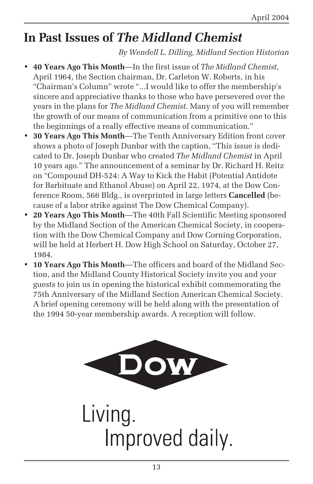# **In Past Issues of** *The Midland Chemist*

*By Wendell L. Dilling, Midland Section Historian*

- **40 Years Ago This Month**—In the first issue of *The Midland Chemist*, April 1964, the Section chairman, Dr. Carleton W. Roberts, in his "Chairman's Column" wrote "...I would like to offer the membership's sincere and appreciative thanks to those who have persevered over the years in the plans for *The Midland Chemist*. Many of you will remember the growth of our means of communication from a primitive one to this the beginnings of a really effective means of communication."
- **30 Years Ago This Month**—The Tenth Anniversary Edition front cover shows a photo of Joseph Dunbar with the caption, "This issue is dedicated to Dr. Joseph Dunbar who created *The Midland Chemist* in April 10 years ago." The announcement of a seminar by Dr. Richard H. Reitz on "Compound DH-524: A Way to Kick the Habit (Potential Antidote for Barbituate and Ethanol Abuse) on April 22, 1974, at the Dow Conference Room, 566 Bldg., is overprinted in large letters **Cancelled** (because of a labor strike against The Dow Chemical Company).
- **20 Years Ago This Month**—The 40th Fall Scientific Meeting sponsored by the Midland Section of the American Chemical Society, in cooperation with the Dow Chemical Company and Dow Corning Corporation, will be held at Herbert H. Dow High School on Saturday, October 27, 1984.
- **10 Years Ago This Month**—The officers and board of the Midland Section, and the Midland County Historical Society invite you and your guests to join us in opening the historical exhibit commemorating the 75th Anniversary of the Midland Section American Chemical Society. A brief opening ceremony will be held along with the presentation of the 1994 50-year membership awards. A reception will follow.